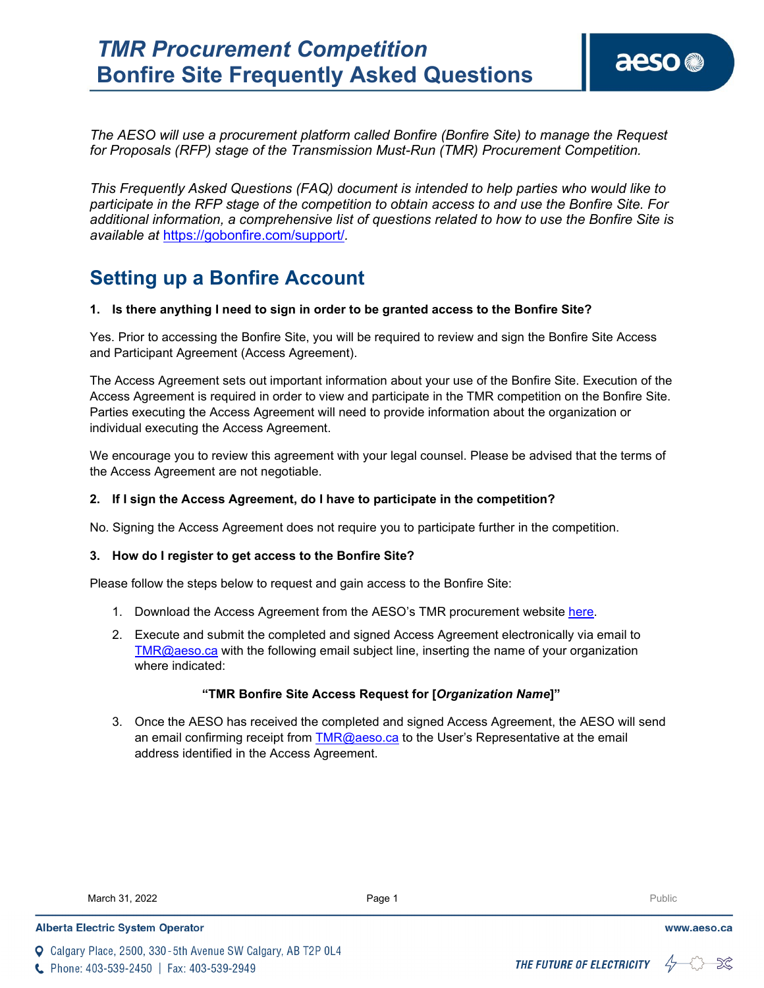*The AESO will use a procurement platform called Bonfire (Bonfire Site) to manage the Request for Proposals (RFP) stage of the Transmission Must-Run (TMR) Procurement Competition.* 

*This Frequently Asked Questions (FAQ) document is intended to help parties who would like to participate in the RFP stage of the competition to obtain access to and use the Bonfire Site. For additional information, a comprehensive list of questions related to how to use the Bonfire Site is available at* <https://gobonfire.com/support/>*.* 

# **Setting up a Bonfire Account**

### **1. Is there anything I need to sign in order to be granted access to the Bonfire Site?**

Yes. Prior to accessing the Bonfire Site, you will be required to review and sign the Bonfire Site Access and Participant Agreement (Access Agreement).

The Access Agreement sets out important information about your use of the Bonfire Site. Execution of the Access Agreement is required in order to view and participate in the TMR competition on the Bonfire Site. Parties executing the Access Agreement will need to provide information about the organization or individual executing the Access Agreement.

We encourage you to review this agreement with your legal counsel. Please be advised that the terms of the Access Agreement are not negotiable.

### **2. If I sign the Access Agreement, do I have to participate in the competition?**

No. Signing the Access Agreement does not require you to participate further in the competition.

#### **3. How do I register to get access to the Bonfire Site?**

Please follow the steps below to request and gain access to the Bonfire Site:

- 1. Download the Access Agreement from the AESO's TMR procurement website [here.](https://www.aeso.ca/market/ancillary-services/transmission-must-run-service/)
- 2. Execute and submit the completed and signed Access Agreement electronically via email to [TMR@aeso.ca](mailto:TMR@aeso.ca) with the following email subject line, inserting the name of your organization where indicated:

#### **"TMR Bonfire Site Access Request for [***Organization Name***]"**

3. Once the AESO has received the completed and signed Access Agreement, the AESO will send an email confirming receipt from [TMR@aeso.ca](mailto:TMR@aeso.ca) to the User's Representative at the email address identified in the Access Agreement.

March 31, 2022 **Page 1** Public Public Public Page 1 Public Public Public Public Public Public Public Public Public Public Public Public Public Public Public Public Public Public Public Public Public Public Public Public Pu

**Q** Calgary Place, 2500, 330-5th Avenue SW Calgary, AB T2P 0L4

C Phone: 403-539-2450 | Fax: 403-539-2949



www.aeso.ca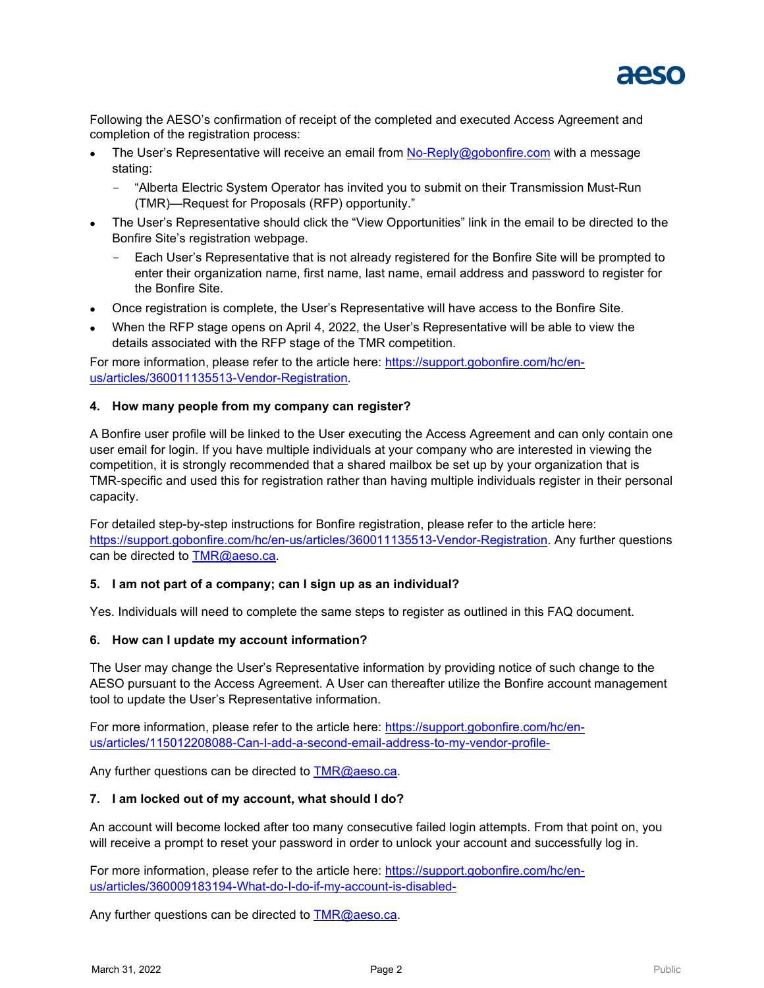

Following the AESO's confirmation of receipt of the completed and executed Access Agreement and completion of the registration process:

- The User's Representative will receive an email from [No-Reply@gobonfire.com](mailto:No-Reply@gobonfire.com) with a message stating:
	- "Alberta Electric System Operator has invited you to submit on their Transmission Must-Run (TMR)—Request for Proposals (RFP) opportunity."
- The User's Representative should click the "View Opportunities" link in the email to be directed to the Bonfire Site's registration webpage.
	- Each User's Representative that is not already registered for the Bonfire Site will be prompted to enter their organization name, first name, last name, email address and password to register for the Bonfire Site.
- Once registration is complete, the User's Representative will have access to the Bonfire Site.
- When the RFP stage opens on April 4, 2022, the User's Representative will be able to view the details associated with the RFP stage of the TMR competition.

For more information, please refer to the article here: [https://support.gobonfire.com/hc/en](https://support.gobonfire.com/hc/en-us/articles/360011135513-Vendor-Registration)[us/articles/360011135513-Vendor-Registration.](https://support.gobonfire.com/hc/en-us/articles/360011135513-Vendor-Registration)

#### **4. How many people from my company can register?**

A Bonfire user profile will be linked to the User executing the Access Agreement and can only contain one user email for login. If you have multiple individuals at your company who are interested in viewing the competition, it is strongly recommended that a shared mailbox be set up by your organization that is TMR-specific and used this for registration rather than having multiple individuals register in their personal capacity.

For detailed step-by-step instructions for Bonfire registration, please refer to the article here: [https://support.gobonfire.com/hc/en-us/articles/360011135513-Vendor-Registration.](https://support.gobonfire.com/hc/en-us/articles/360011135513-Vendor-Registration) Any further questions can be directed to [TMR@aeso.ca.](mailto:TMR@aeso.ca)

#### **5. I am not part of a company; can I sign up as an individual?**

Yes. Individuals will need to complete the same steps to register as outlined in this FAQ document.

#### **6. How can I update my account information?**

The User may change the User's Representative information by providing notice of such change to the AESO pursuant to the Access Agreement. A User can thereafter utilize the Bonfire account management tool to update the User's Representative information.

For more information, please refer to the article here: [https://support.gobonfire.com/hc/en](https://support.gobonfire.com/hc/en-us/articles/115012208088-Can-I-add-a-second-email-address-to-my-vendor-profile-)[us/articles/115012208088-Can-I-add-a-second-email-address-to-my-vendor-profile-](https://support.gobonfire.com/hc/en-us/articles/115012208088-Can-I-add-a-second-email-address-to-my-vendor-profile-)

Any further questions can be directed to  $TMR@aeso.ca$ .

#### **7. I am locked out of my account, what should I do?**

An account will become locked after too many consecutive failed login attempts. From that point on, you will receive a prompt to reset your password in order to unlock your account and successfully log in.

For more information, please refer to the article here: [https://support.gobonfire.com/hc/en](https://support.gobonfire.com/hc/en-us/articles/360009183194-What-do-I-do-if-my-account-is-disabled-)[us/articles/360009183194-What-do-I-do-if-my-account-is-disabled-](https://support.gobonfire.com/hc/en-us/articles/360009183194-What-do-I-do-if-my-account-is-disabled-)

Any further questions can be directed to  $TMR@$  aeso.ca.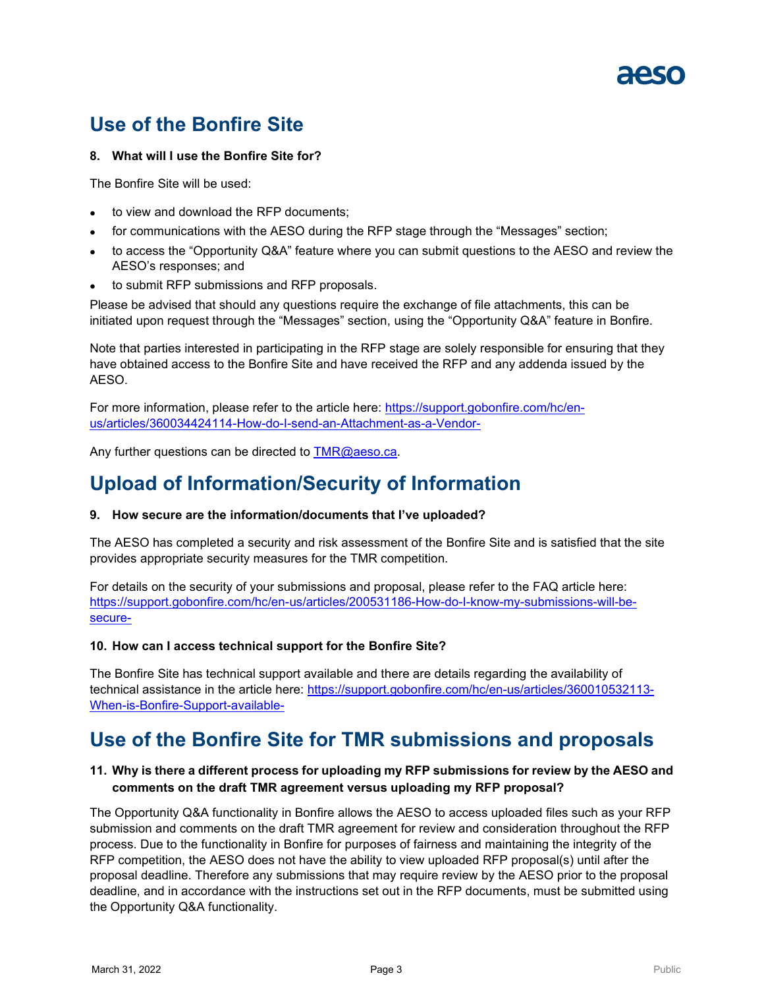# **Use of the Bonfire Site**

# **8. What will I use the Bonfire Site for?**

The Bonfire Site will be used:

- to view and download the RFP documents;
- for communications with the AESO during the RFP stage through the "Messages" section;
- to access the "Opportunity Q&A" feature where you can submit questions to the AESO and review the AESO's responses; and
- to submit RFP submissions and RFP proposals.

Please be advised that should any questions require the exchange of file attachments, this can be initiated upon request through the "Messages" section, using the "Opportunity Q&A" feature in Bonfire.

Note that parties interested in participating in the RFP stage are solely responsible for ensuring that they have obtained access to the Bonfire Site and have received the RFP and any addenda issued by the AESO.

For more information, please refer to the article here: [https://support.gobonfire.com/hc/en](https://support.gobonfire.com/hc/en-us/articles/360034424114-How-do-I-send-an-Attachment-as-a-Vendor-)[us/articles/360034424114-How-do-I-send-an-Attachment-as-a-Vendor-](https://support.gobonfire.com/hc/en-us/articles/360034424114-How-do-I-send-an-Attachment-as-a-Vendor-)

Any further questions can be directed to [TMR@aeso.ca.](mailto:TMR@aeso.ca)

# **Upload of Information/Security of Information**

### **9. How secure are the information/documents that I've uploaded?**

The AESO has completed a security and risk assessment of the Bonfire Site and is satisfied that the site provides appropriate security measures for the TMR competition.

For details on the security of your submissions and proposal, please refer to the FAQ article here: [https://support.gobonfire.com/hc/en-us/articles/200531186-How-do-I-know-my-submissions-will-be](https://support.gobonfire.com/hc/en-us/articles/200531186-How-do-I-know-my-submissions-will-be-secure-)[secure-](https://support.gobonfire.com/hc/en-us/articles/200531186-How-do-I-know-my-submissions-will-be-secure-)

### **10. How can I access technical support for the Bonfire Site?**

The Bonfire Site has technical support available and there are details regarding the availability of technical assistance in the article here: [https://support.gobonfire.com/hc/en-us/articles/360010532113-](https://support.gobonfire.com/hc/en-us/articles/360010532113-When-is-Bonfire-Support-available-) [When-is-Bonfire-Support-available-](https://support.gobonfire.com/hc/en-us/articles/360010532113-When-is-Bonfire-Support-available-)

# **Use of the Bonfire Site for TMR submissions and proposals**

# **11. Why is there a different process for uploading my RFP submissions for review by the AESO and comments on the draft TMR agreement versus uploading my RFP proposal?**

The Opportunity Q&A functionality in Bonfire allows the AESO to access uploaded files such as your RFP submission and comments on the draft TMR agreement for review and consideration throughout the RFP process. Due to the functionality in Bonfire for purposes of fairness and maintaining the integrity of the RFP competition, the AESO does not have the ability to view uploaded RFP proposal(s) until after the proposal deadline. Therefore any submissions that may require review by the AESO prior to the proposal deadline, and in accordance with the instructions set out in the RFP documents, must be submitted using the Opportunity Q&A functionality.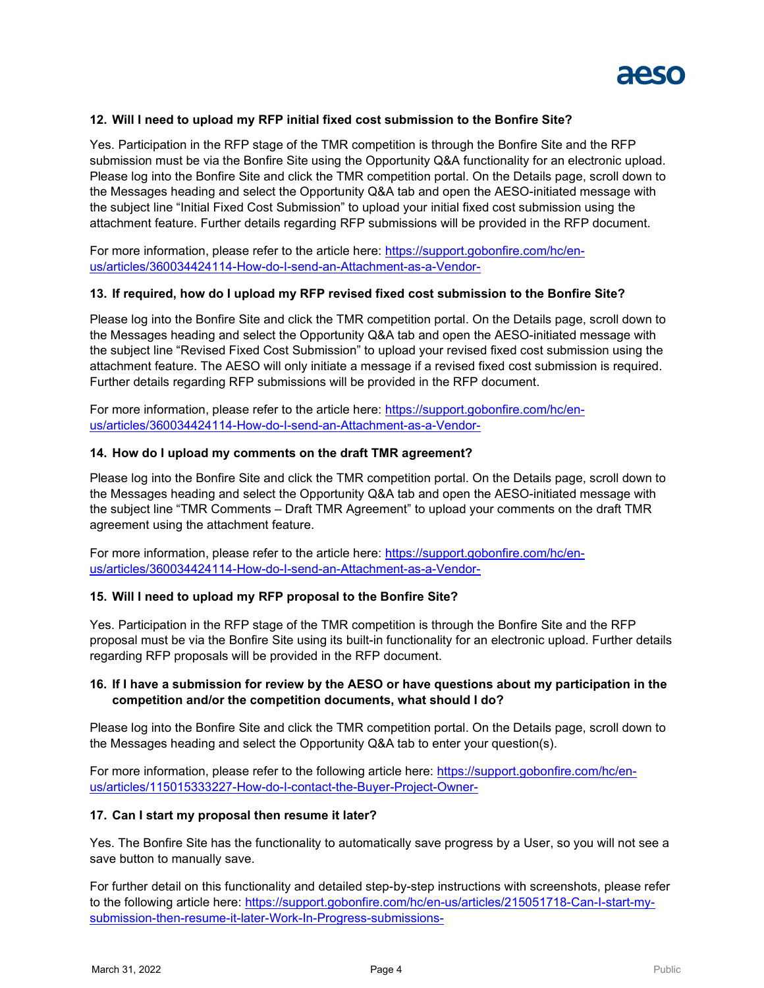

# **12. Will I need to upload my RFP initial fixed cost submission to the Bonfire Site?**

Yes. Participation in the RFP stage of the TMR competition is through the Bonfire Site and the RFP submission must be via the Bonfire Site using the Opportunity Q&A functionality for an electronic upload. Please log into the Bonfire Site and click the TMR competition portal. On the Details page, scroll down to the Messages heading and select the Opportunity Q&A tab and open the AESO-initiated message with the subject line "Initial Fixed Cost Submission" to upload your initial fixed cost submission using the attachment feature. Further details regarding RFP submissions will be provided in the RFP document.

For more information, please refer to the article here: [https://support.gobonfire.com/hc/en](https://support.gobonfire.com/hc/en-us/articles/360034424114-How-do-I-send-an-Attachment-as-a-Vendor-)[us/articles/360034424114-How-do-I-send-an-Attachment-as-a-Vendor-](https://support.gobonfire.com/hc/en-us/articles/360034424114-How-do-I-send-an-Attachment-as-a-Vendor-)

#### **13. If required, how do I upload my RFP revised fixed cost submission to the Bonfire Site?**

Please log into the Bonfire Site and click the TMR competition portal. On the Details page, scroll down to the Messages heading and select the Opportunity Q&A tab and open the AESO-initiated message with the subject line "Revised Fixed Cost Submission" to upload your revised fixed cost submission using the attachment feature. The AESO will only initiate a message if a revised fixed cost submission is required. Further details regarding RFP submissions will be provided in the RFP document.

For more information, please refer to the article here: [https://support.gobonfire.com/hc/en](https://support.gobonfire.com/hc/en-us/articles/360034424114-How-do-I-send-an-Attachment-as-a-Vendor-)[us/articles/360034424114-How-do-I-send-an-Attachment-as-a-Vendor-](https://support.gobonfire.com/hc/en-us/articles/360034424114-How-do-I-send-an-Attachment-as-a-Vendor-)

#### **14. How do I upload my comments on the draft TMR agreement?**

Please log into the Bonfire Site and click the TMR competition portal. On the Details page, scroll down to the Messages heading and select the Opportunity Q&A tab and open the AESO-initiated message with the subject line "TMR Comments – Draft TMR Agreement" to upload your comments on the draft TMR agreement using the attachment feature.

For more information, please refer to the article here: [https://support.gobonfire.com/hc/en](https://support.gobonfire.com/hc/en-us/articles/360034424114-How-do-I-send-an-Attachment-as-a-Vendor-)[us/articles/360034424114-How-do-I-send-an-Attachment-as-a-Vendor-](https://support.gobonfire.com/hc/en-us/articles/360034424114-How-do-I-send-an-Attachment-as-a-Vendor-)

#### **15. Will I need to upload my RFP proposal to the Bonfire Site?**

Yes. Participation in the RFP stage of the TMR competition is through the Bonfire Site and the RFP proposal must be via the Bonfire Site using its built-in functionality for an electronic upload. Further details regarding RFP proposals will be provided in the RFP document.

# **16. If I have a submission for review by the AESO or have questions about my participation in the competition and/or the competition documents, what should I do?**

Please log into the Bonfire Site and click the TMR competition portal. On the Details page, scroll down to the Messages heading and select the Opportunity Q&A tab to enter your question(s).

For more information, please refer to the following article here: [https://support.gobonfire.com/hc/en](https://support.gobonfire.com/hc/en-us/articles/115015333227-How-do-I-contact-the-Buyer-Project-Owner-)[us/articles/115015333227-How-do-I-contact-the-Buyer-Project-Owner-](https://support.gobonfire.com/hc/en-us/articles/115015333227-How-do-I-contact-the-Buyer-Project-Owner-)

#### **17. Can I start my proposal then resume it later?**

Yes. The Bonfire Site has the functionality to automatically save progress by a User, so you will not see a save button to manually save.

For further detail on this functionality and detailed step-by-step instructions with screenshots, please refer to the following article here: [https://support.gobonfire.com/hc/en-us/articles/215051718-Can-I-start-my](https://support.gobonfire.com/hc/en-us/articles/215051718-Can-I-start-my-submission-then-resume-it-later-Work-In-Progress-submissions-)[submission-then-resume-it-later-Work-In-Progress-submissions-](https://support.gobonfire.com/hc/en-us/articles/215051718-Can-I-start-my-submission-then-resume-it-later-Work-In-Progress-submissions-)